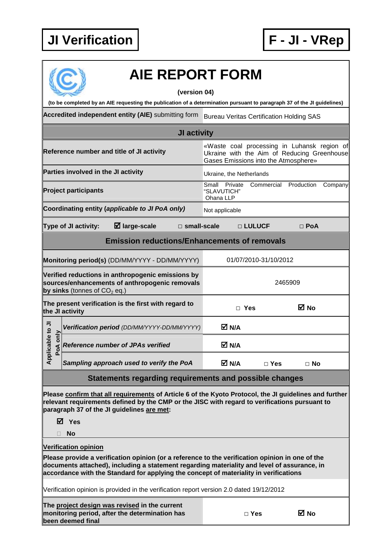

## **AIE REPORT FORM**

**(version 04)** 

**(to be completed by an AIE requesting the publication of a determination pursuant to paragraph 37 of the JI guidelines)** 

Accredited independent entity (AIE) submitting form Bureau Veritas Certification Holding SAS

|                              |                                     |                                                                                                     | <b>JI activity</b>    |                                                                                                                                    |                       |            |         |
|------------------------------|-------------------------------------|-----------------------------------------------------------------------------------------------------|-----------------------|------------------------------------------------------------------------------------------------------------------------------------|-----------------------|------------|---------|
|                              |                                     | Reference number and title of JI activity                                                           |                       | «Waste coal processing in Luhansk region of<br>Ukraine with the Aim of Reducing Greenhouse<br>Gases Emissions into the Atmosphere» |                       |            |         |
|                              | Parties involved in the JI activity |                                                                                                     |                       | Ukraine, the Netherlands                                                                                                           |                       |            |         |
|                              | <b>Project participants</b>         |                                                                                                     |                       | Private<br>Small<br>"SLAVUTICH"<br>Ohana LLP                                                                                       | Commercial            | Production | Company |
|                              |                                     | Coordinating entity (applicable to JI PoA only)                                                     |                       | Not applicable                                                                                                                     |                       |            |         |
|                              | Type of JI activity:                | $\boxtimes$ large-scale                                                                             | $\square$ small-scale |                                                                                                                                    | $\Box$ LULUCF         | $\Box$ PoA |         |
|                              |                                     | <b>Emission reductions/Enhancements of removals</b>                                                 |                       |                                                                                                                                    |                       |            |         |
|                              |                                     | Monitoring period(s) (DD/MM/YYYY - DD/MM/YYYY)                                                      |                       |                                                                                                                                    | 01/07/2010-31/10/2012 |            |         |
|                              | by sinks (tonnes of $CO2$ eq.)      | Verified reductions in anthropogenic emissions by<br>sources/enhancements of anthropogenic removals |                       |                                                                                                                                    |                       | 2465909    |         |
|                              | the JI activity                     | The present verification is the first with regard to                                                |                       | $\Box$ Yes                                                                                                                         |                       | ⊠ No       |         |
|                              |                                     | Verification period (DD/MM/YYYY-DD/MM/YYYY)                                                         |                       | M N/A                                                                                                                              |                       |            |         |
| Applicable to JI<br>PoA only |                                     | <b>Reference number of JPAs verified</b>                                                            |                       | M N/A                                                                                                                              |                       |            |         |
|                              |                                     | Sampling approach used to verify the PoA                                                            |                       | M N/A                                                                                                                              | $\Box$ Yes            | $\Box$ No  |         |
|                              |                                     |                                                                                                     |                       |                                                                                                                                    |                       |            |         |

## **Statements regarding requirements and possible changes**

**Please confirm that all requirements of Article 6 of the Kyoto Protocol, the JI guidelines and further relevant requirements defined by the CMP or the JISC with regard to verifications pursuant to paragraph 37 of the JI guidelines are met:** 

**Yes** 

**No** 

**Verification opinion** 

**Please provide a verification opinion (or a reference to the verification opinion in one of the documents attached), including a statement regarding materiality and level of assurance, in accordance with the Standard for applying the concept of materiality in verifications** 

Verification opinion is provided in the verification report version 2.0 dated 19/12/2012

**The project design was revised in the current monitoring period, after the determination has been deemed final**